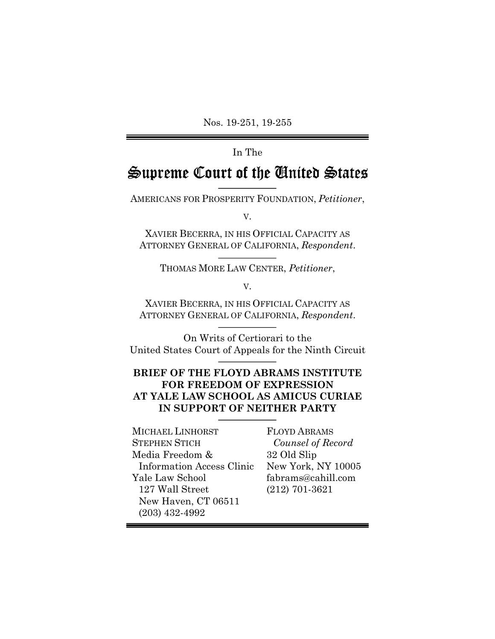Nos. 19-251, 19-255

### In The

# Supreme Court of the *Conited* States

AMERICANS FOR PROSPERITY FOUNDATION, *Petitioner*,

V.

XAVIER BECERRA, IN HIS OFFICIAL CAPACITY AS ATTORNEY GENERAL OF CALIFORNIA, *Respondent*.

THOMAS MORE LAW CENTER, *Petitioner*,

#### V.

XAVIER BECERRA, IN HIS OFFICIAL CAPACITY AS ATTORNEY GENERAL OF CALIFORNIA, *Respondent*.

On Writs of Certiorari to the United States Court of Appeals for the Ninth Circuit

## **BRIEF OF THE FLOYD ABRAMS INSTITUTE FOR FREEDOM OF EXPRESSION AT YALE LAW SCHOOL AS AMICUS CURIAE IN SUPPORT OF NEITHER PARTY**

MICHAEL LINHORST STEPHEN STICH Media Freedom & Information Access Clinic Yale Law School 127 Wall Street New Haven, CT 06511 (203) 432-4992

FLOYD ABRAMS *Counsel of Record* 32 Old Slip New York, NY 10005 fabrams@cahill.com (212) 701-3621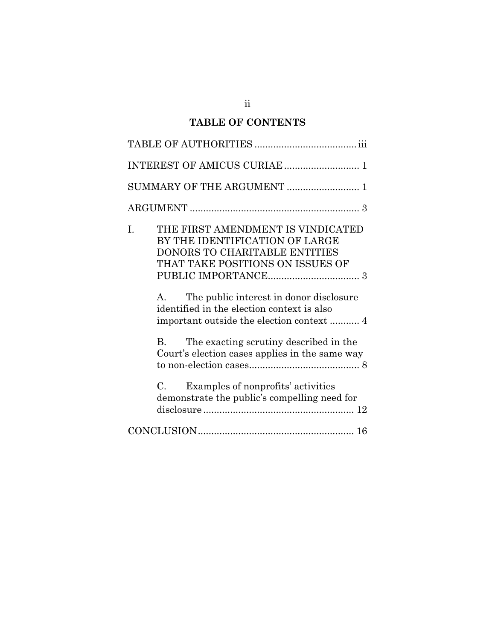# **TABLE OF CONTENTS**

| SUMMARY OF THE ARGUMENT  1                                                                                                                            |
|-------------------------------------------------------------------------------------------------------------------------------------------------------|
|                                                                                                                                                       |
| THE FIRST AMENDMENT IS VINDICATED<br>I.<br>BY THE IDENTIFICATION OF LARGE<br><b>DONORS TO CHARITABLE ENTITIES</b><br>THAT TAKE POSITIONS ON ISSUES OF |
| The public interest in donor disclosure<br>$A_{-}$<br>identified in the election context is also                                                      |
| The exacting scrutiny described in the<br>B.<br>Court's election cases applies in the same way                                                        |
| Examples of nonprofits' activities<br>$C_{\cdot}$<br>demonstrate the public's compelling need for                                                     |
|                                                                                                                                                       |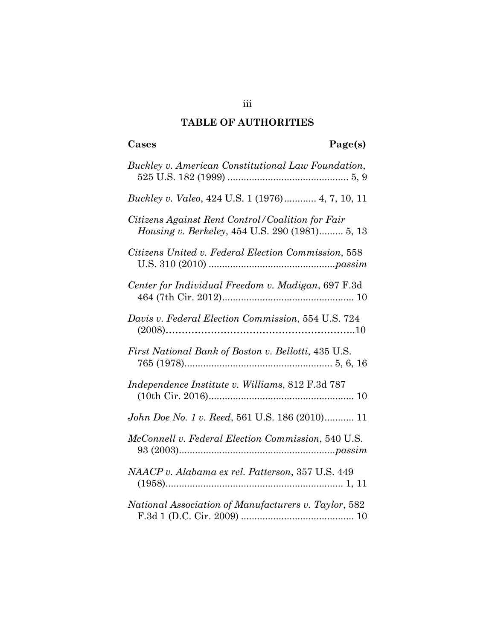## **TABLE OF AUTHORITIES**

| Cases<br>Page(s)                                                                                   |
|----------------------------------------------------------------------------------------------------|
| Buckley v. American Constitutional Law Foundation,                                                 |
| <i>Buckley v. Valeo, 424 U.S. 1 (1976) 4, 7, 10, 11</i>                                            |
| Citizens Against Rent Control/Coalition for Fair<br>Housing v. Berkeley, 454 U.S. 290 (1981) 5, 13 |
| Citizens United v. Federal Election Commission, 558                                                |
| Center for Individual Freedom v. Madigan, 697 F.3d                                                 |
| Davis v. Federal Election Commission, 554 U.S. 724                                                 |
| First National Bank of Boston v. Bellotti, 435 U.S.                                                |
| Independence Institute v. Williams, 812 F.3d 787                                                   |
| John Doe No. 1 v. Reed, 561 U.S. 186 (2010) 11                                                     |
| <i>McConnell v. Federal Election Commission, 540 U.S.</i>                                          |
| NAACP v. Alabama ex rel. Patterson, 357 U.S. 449                                                   |
| National Association of Manufacturers v. Taylor, 582                                               |

iii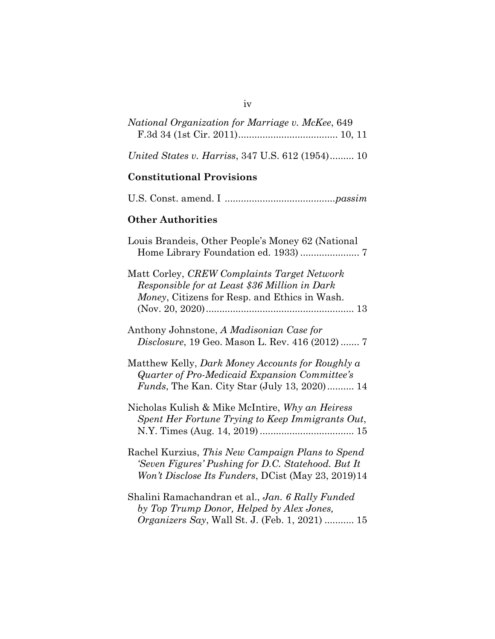| National Organization for Marriage v. McKee, 649                                                                                                             |
|--------------------------------------------------------------------------------------------------------------------------------------------------------------|
| United States v. Harriss, 347 U.S. 612 (1954) 10                                                                                                             |
| <b>Constitutional Provisions</b>                                                                                                                             |
|                                                                                                                                                              |
| <b>Other Authorities</b>                                                                                                                                     |
| Louis Brandeis, Other People's Money 62 (National                                                                                                            |
| Matt Corley, CREW Complaints Target Network<br>Responsible for at Least \$36 Million in Dark<br>Money, Citizens for Resp. and Ethics in Wash.                |
| Anthony Johnstone, A Madisonian Case for<br>Disclosure, 19 Geo. Mason L. Rev. 416 (2012)  7                                                                  |
| Matthew Kelly, Dark Money Accounts for Roughly a<br>Quarter of Pro-Medicaid Expansion Committee's<br>Funds, The Kan. City Star (July 13, 2020) 14            |
| Nicholas Kulish & Mike McIntire, Why an Heiress<br>Spent Her Fortune Trying to Keep Immigrants Out,                                                          |
| Rachel Kurzius, This New Campaign Plans to Spend<br>'Seven Figures' Pushing for D.C. Statehood. But It<br>Won't Disclose Its Funders, DCist (May 23, 2019)14 |
| Shalini Ramachandran et al., Jan. 6 Rally Funded<br>by Top Trump Donor, Helped by Alex Jones,<br>Organizers Say, Wall St. J. (Feb. 1, 2021)  15              |

iv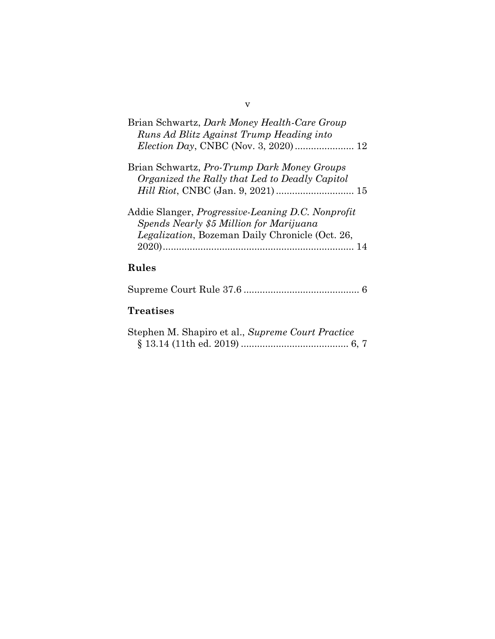| Brian Schwartz, Dark Money Health-Care Group             |
|----------------------------------------------------------|
| Runs Ad Blitz Against Trump Heading into                 |
|                                                          |
| Brian Schwartz, Pro-Trump Dark Money Groups              |
| Organized the Rally that Led to Deadly Capitol           |
|                                                          |
| Addie Slanger, <i>Progressive-Leaning D.C. Nonprofit</i> |
| Spends Nearly \$5 Million for Marijuana                  |
| Legalization, Bozeman Daily Chronicle (Oct. 26,          |
|                                                          |
|                                                          |

# **Rules**

|--|--|

# **Treatises**

| Stephen M. Shapiro et al., Supreme Court Practice |  |
|---------------------------------------------------|--|
|                                                   |  |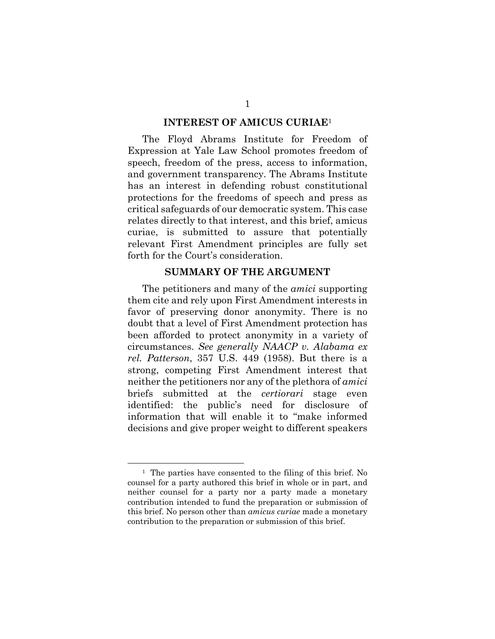#### **INTEREST OF AMICUS CURIAE**<sup>1</sup>

The Floyd Abrams Institute for Freedom of Expression at Yale Law School promotes freedom of speech, freedom of the press, access to information, and government transparency. The Abrams Institute has an interest in defending robust constitutional protections for the freedoms of speech and press as critical safeguards of our democratic system. This case relates directly to that interest, and this brief, amicus curiae, is submitted to assure that potentially relevant First Amendment principles are fully set forth for the Court's consideration.

### **SUMMARY OF THE ARGUMENT**

The petitioners and many of the *amici* supporting them cite and rely upon First Amendment interests in favor of preserving donor anonymity. There is no doubt that a level of First Amendment protection has been afforded to protect anonymity in a variety of circumstances. *See generally NAACP v. Alabama ex rel. Patterson*, 357 U.S. 449 (1958). But there is a strong, competing First Amendment interest that neither the petitioners nor any of the plethora of *amici* briefs submitted at the *certiorari* stage even identified: the public's need for disclosure of information that will enable it to "make informed decisions and give proper weight to different speakers

<sup>1</sup> The parties have consented to the filing of this brief. No counsel for a party authored this brief in whole or in part, and neither counsel for a party nor a party made a monetary contribution intended to fund the preparation or submission of this brief. No person other than *amicus curiae* made a monetary contribution to the preparation or submission of this brief.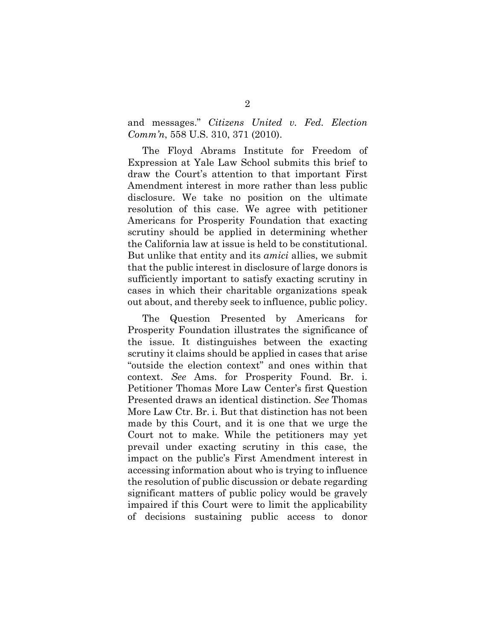and messages." *Citizens United v. Fed. Election Comm'n*, 558 U.S. 310, 371 (2010).

The Floyd Abrams Institute for Freedom of Expression at Yale Law School submits this brief to draw the Court's attention to that important First Amendment interest in more rather than less public disclosure. We take no position on the ultimate resolution of this case. We agree with petitioner Americans for Prosperity Foundation that exacting scrutiny should be applied in determining whether the California law at issue is held to be constitutional. But unlike that entity and its *amici* allies, we submit that the public interest in disclosure of large donors is sufficiently important to satisfy exacting scrutiny in cases in which their charitable organizations speak out about, and thereby seek to influence, public policy.

The Question Presented by Americans for Prosperity Foundation illustrates the significance of the issue. It distinguishes between the exacting scrutiny it claims should be applied in cases that arise "outside the election context" and ones within that context. *See* Ams. for Prosperity Found. Br. i. Petitioner Thomas More Law Center's first Question Presented draws an identical distinction. *See* Thomas More Law Ctr. Br. i. But that distinction has not been made by this Court, and it is one that we urge the Court not to make. While the petitioners may yet prevail under exacting scrutiny in this case, the impact on the public's First Amendment interest in accessing information about who is trying to influence the resolution of public discussion or debate regarding significant matters of public policy would be gravely impaired if this Court were to limit the applicability of decisions sustaining public access to donor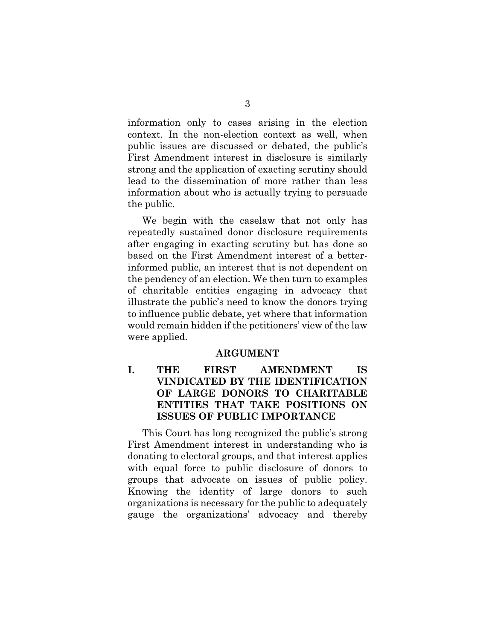information only to cases arising in the election context. In the non-election context as well, when public issues are discussed or debated, the public's First Amendment interest in disclosure is similarly strong and the application of exacting scrutiny should lead to the dissemination of more rather than less information about who is actually trying to persuade the public.

We begin with the caselaw that not only has repeatedly sustained donor disclosure requirements after engaging in exacting scrutiny but has done so based on the First Amendment interest of a betterinformed public, an interest that is not dependent on the pendency of an election. We then turn to examples of charitable entities engaging in advocacy that illustrate the public's need to know the donors trying to influence public debate, yet where that information would remain hidden if the petitioners' view of the law were applied.

#### **ARGUMENT**

**I. THE FIRST AMENDMENT IS VINDICATED BY THE IDENTIFICATION OF LARGE DONORS TO CHARITABLE ENTITIES THAT TAKE POSITIONS ON ISSUES OF PUBLIC IMPORTANCE**

This Court has long recognized the public's strong First Amendment interest in understanding who is donating to electoral groups, and that interest applies with equal force to public disclosure of donors to groups that advocate on issues of public policy. Knowing the identity of large donors to such organizations is necessary for the public to adequately gauge the organizations' advocacy and thereby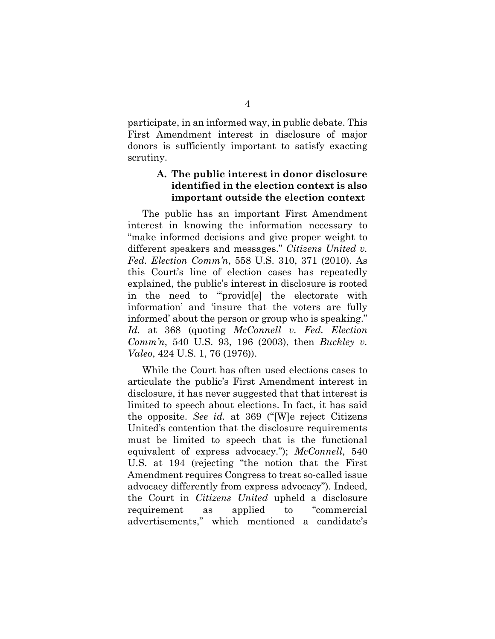participate, in an informed way, in public debate. This First Amendment interest in disclosure of major donors is sufficiently important to satisfy exacting scrutiny.

## **A. The public interest in donor disclosure identified in the election context is also important outside the election context**

The public has an important First Amendment interest in knowing the information necessary to "make informed decisions and give proper weight to different speakers and messages." *Citizens United v. Fed. Election Comm'n*, 558 U.S. 310, 371 (2010). As this Court's line of election cases has repeatedly explained, the public's interest in disclosure is rooted in the need to "provid[e] the electorate with information' and 'insure that the voters are fully informed' about the person or group who is speaking." *Id.* at 368 (quoting *McConnell v. Fed. Election Comm'n*, 540 U.S. 93, 196 (2003), then *Buckley v. Valeo*, 424 U.S. 1, 76 (1976)).

While the Court has often used elections cases to articulate the public's First Amendment interest in disclosure, it has never suggested that that interest is limited to speech about elections. In fact, it has said the opposite. *See id.* at 369 ("[W]e reject Citizens United's contention that the disclosure requirements must be limited to speech that is the functional equivalent of express advocacy."); *McConnell*, 540 U.S. at 194 (rejecting "the notion that the First Amendment requires Congress to treat so-called issue advocacy differently from express advocacy"). Indeed, the Court in *Citizens United* upheld a disclosure requirement as applied to "commercial advertisements," which mentioned a candidate's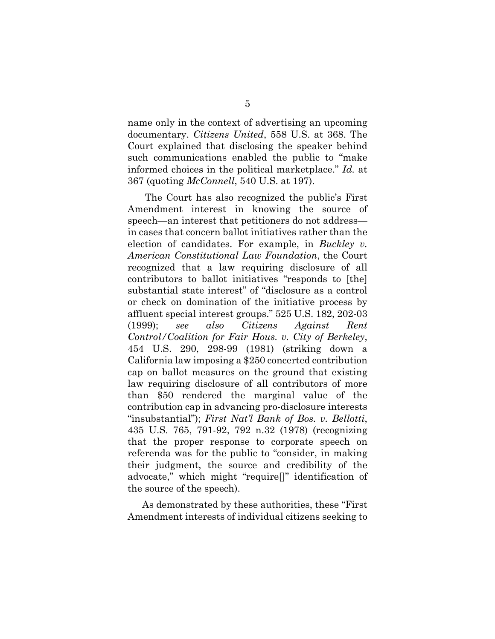name only in the context of advertising an upcoming documentary. *Citizens United*, 558 U.S. at 368. The Court explained that disclosing the speaker behind such communications enabled the public to "make informed choices in the political marketplace." *Id.* at 367 (quoting *McConnell*, 540 U.S. at 197).

The Court has also recognized the public's First Amendment interest in knowing the source of speech—an interest that petitioners do not address in cases that concern ballot initiatives rather than the election of candidates. For example, in *Buckley v. American Constitutional Law Foundation*, the Court recognized that a law requiring disclosure of all contributors to ballot initiatives "responds to [the] substantial state interest" of "disclosure as a control or check on domination of the initiative process by affluent special interest groups." 525 U.S. 182, 202-03 (1999); *see also Citizens Against Rent Control/Coalition for Fair Hous. v. City of Berkeley*, 454 U.S. 290, 298-99 (1981) (striking down a California law imposing a \$250 concerted contribution cap on ballot measures on the ground that existing law requiring disclosure of all contributors of more than \$50 rendered the marginal value of the contribution cap in advancing pro-disclosure interests "insubstantial"); *First Nat'l Bank of Bos. v. Bellotti*, 435 U.S. 765, 791-92, 792 n.32 (1978) (recognizing that the proper response to corporate speech on referenda was for the public to "consider, in making their judgment, the source and credibility of the advocate," which might "require[]" identification of the source of the speech).

As demonstrated by these authorities, these "First Amendment interests of individual citizens seeking to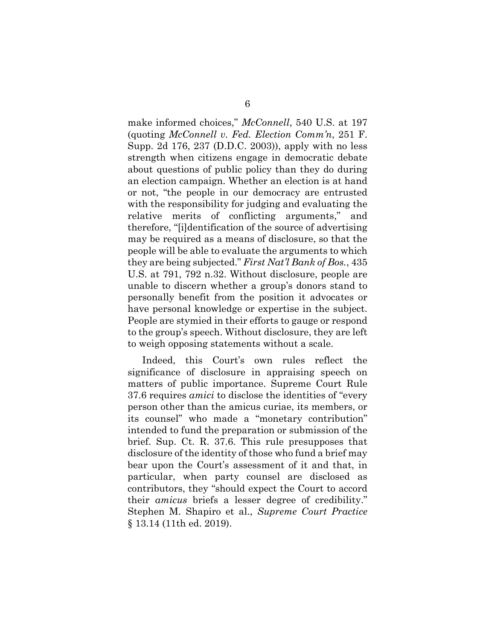make informed choices," *McConnell*, 540 U.S. at 197 (quoting *McConnell v. Fed. Election Comm'n*, 251 F. Supp. 2d 176, 237 (D.D.C. 2003)), apply with no less strength when citizens engage in democratic debate about questions of public policy than they do during an election campaign. Whether an election is at hand or not, "the people in our democracy are entrusted with the responsibility for judging and evaluating the relative merits of conflicting arguments," and therefore, "[i]dentification of the source of advertising may be required as a means of disclosure, so that the people will be able to evaluate the arguments to which they are being subjected." *First Nat'l Bank of Bos.*, 435 U.S. at 791, 792 n.32. Without disclosure, people are unable to discern whether a group's donors stand to personally benefit from the position it advocates or have personal knowledge or expertise in the subject. People are stymied in their efforts to gauge or respond to the group's speech. Without disclosure, they are left to weigh opposing statements without a scale.

Indeed, this Court's own rules reflect the significance of disclosure in appraising speech on matters of public importance. Supreme Court Rule 37.6 requires *amici* to disclose the identities of "every person other than the amicus curiae, its members, or its counsel" who made a "monetary contribution" intended to fund the preparation or submission of the brief. Sup. Ct. R. 37.6. This rule presupposes that disclosure of the identity of those who fund a brief may bear upon the Court's assessment of it and that, in particular, when party counsel are disclosed as contributors, they "should expect the Court to accord their *amicus* briefs a lesser degree of credibility." Stephen M. Shapiro et al., *Supreme Court Practice*  § 13.14 (11th ed. 2019).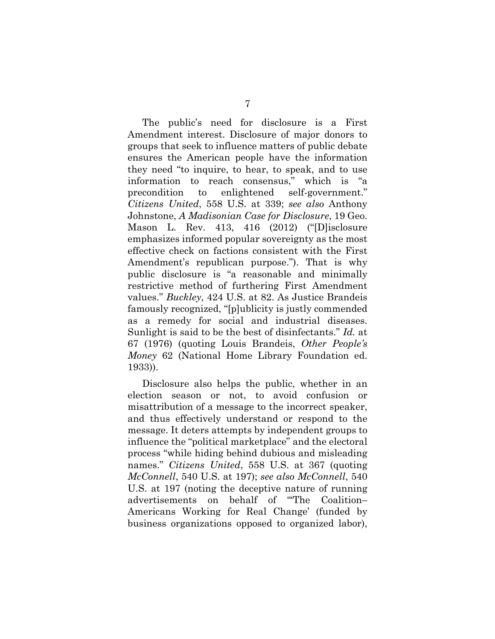The public's need for disclosure is a First Amendment interest. Disclosure of major donors to groups that seek to influence matters of public debate ensures the American people have the information they need "to inquire, to hear, to speak, and to use information to reach consensus," which is "a precondition to enlightened self-government." *Citizens United*, 558 U.S. at 339; *see also* Anthony Johnstone, *A Madisonian Case for Disclosure*, 19 Geo. Mason L. Rev. 413, 416 (2012) ("[D]isclosure emphasizes informed popular sovereignty as the most effective check on factions consistent with the First Amendment's republican purpose."). That is why public disclosure is "a reasonable and minimally restrictive method of furthering First Amendment values." *Buckley*, 424 U.S. at 82. As Justice Brandeis famously recognized, "[p]ublicity is justly commended as a remedy for social and industrial diseases. Sunlight is said to be the best of disinfectants." *Id.* at 67 (1976) (quoting Louis Brandeis, *Other People's Money* 62 (National Home Library Foundation ed. 1933)).

Disclosure also helps the public, whether in an election season or not, to avoid confusion or misattribution of a message to the incorrect speaker, and thus effectively understand or respond to the message. It deters attempts by independent groups to influence the "political marketplace" and the electoral process "while hiding behind dubious and misleading names." *Citizens United*, 558 U.S. at 367 (quoting *McConnell*, 540 U.S. at 197); *see also McConnell*, 540 U.S. at 197 (noting the deceptive nature of running advertisements on behalf of "'The Coalition– Americans Working for Real Change' (funded by business organizations opposed to organized labor),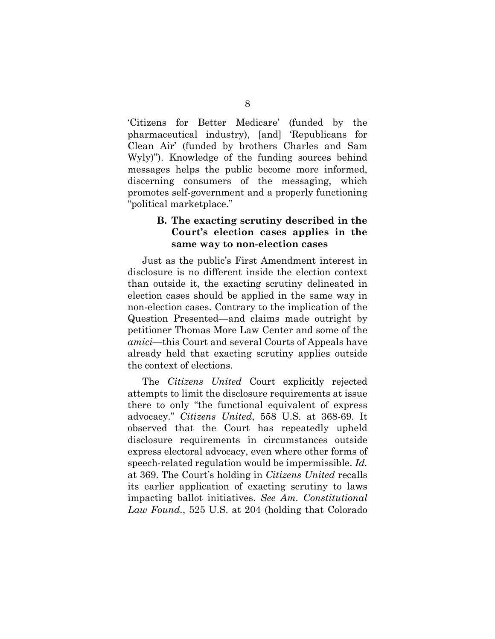'Citizens for Better Medicare' (funded by the pharmaceutical industry), [and] 'Republicans for Clean Air' (funded by brothers Charles and Sam Wyly)"). Knowledge of the funding sources behind messages helps the public become more informed, discerning consumers of the messaging, which promotes self-government and a properly functioning "political marketplace."

### **B. The exacting scrutiny described in the Court's election cases applies in the same way to non-election cases**

Just as the public's First Amendment interest in disclosure is no different inside the election context than outside it, the exacting scrutiny delineated in election cases should be applied in the same way in non-election cases. Contrary to the implication of the Question Presented—and claims made outright by petitioner Thomas More Law Center and some of the *amici*—this Court and several Courts of Appeals have already held that exacting scrutiny applies outside the context of elections.

The *Citizens United* Court explicitly rejected attempts to limit the disclosure requirements at issue there to only "the functional equivalent of express advocacy." *Citizens United*, 558 U.S. at 368-69. It observed that the Court has repeatedly upheld disclosure requirements in circumstances outside express electoral advocacy, even where other forms of speech-related regulation would be impermissible. *Id.* at 369. The Court's holding in *Citizens United* recalls its earlier application of exacting scrutiny to laws impacting ballot initiatives. *See Am. Constitutional Law Found.*, 525 U.S. at 204 (holding that Colorado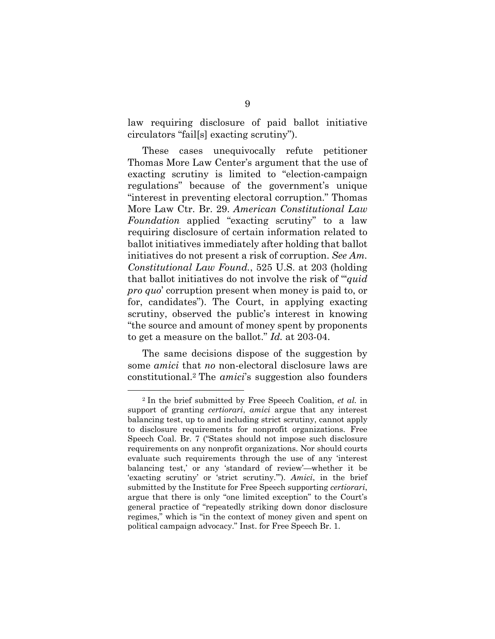law requiring disclosure of paid ballot initiative circulators "fail[s] exacting scrutiny").

These cases unequivocally refute petitioner Thomas More Law Center's argument that the use of exacting scrutiny is limited to "election-campaign regulations" because of the government's unique "interest in preventing electoral corruption." Thomas More Law Ctr. Br. 29. *American Constitutional Law Foundation* applied "exacting scrutiny" to a law requiring disclosure of certain information related to ballot initiatives immediately after holding that ballot initiatives do not present a risk of corruption. *See Am. Constitutional Law Found.*, 525 U.S. at 203 (holding that ballot initiatives do not involve the risk of "'*quid pro quo*' corruption present when money is paid to, or for, candidates"). The Court, in applying exacting scrutiny, observed the public's interest in knowing "the source and amount of money spent by proponents to get a measure on the ballot." *Id.* at 203-04.

The same decisions dispose of the suggestion by some *amici* that *no* non-electoral disclosure laws are constitutional.<sup>2</sup> The *amici*'s suggestion also founders

<sup>2</sup> In the brief submitted by Free Speech Coalition, *et al.* in support of granting *certiorari*, *amici* argue that any interest balancing test, up to and including strict scrutiny, cannot apply to disclosure requirements for nonprofit organizations. Free Speech Coal. Br. 7 ("States should not impose such disclosure requirements on any nonprofit organizations. Nor should courts evaluate such requirements through the use of any 'interest balancing test,' or any 'standard of review'—whether it be 'exacting scrutiny' or 'strict scrutiny.'"). *Amici*, in the brief submitted by the Institute for Free Speech supporting *certiorari*, argue that there is only "one limited exception" to the Court's general practice of "repeatedly striking down donor disclosure regimes," which is "in the context of money given and spent on political campaign advocacy." Inst. for Free Speech Br. 1.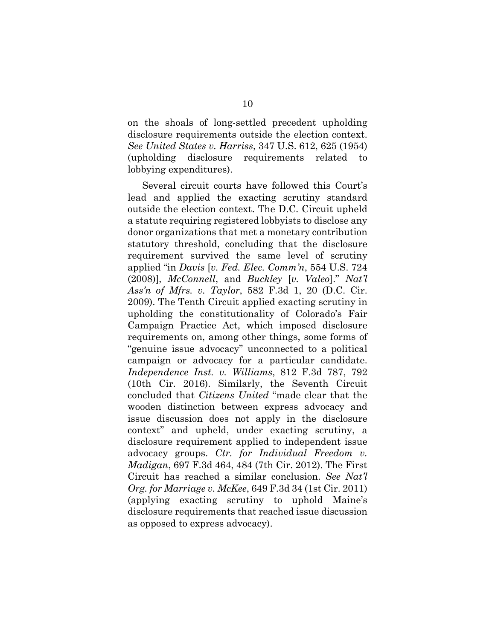on the shoals of long-settled precedent upholding disclosure requirements outside the election context. *See United States v. Harriss*, 347 U.S. 612, 625 (1954) (upholding disclosure requirements related to lobbying expenditures).

Several circuit courts have followed this Court's lead and applied the exacting scrutiny standard outside the election context. The D.C. Circuit upheld a statute requiring registered lobbyists to disclose any donor organizations that met a monetary contribution statutory threshold, concluding that the disclosure requirement survived the same level of scrutiny applied "in *Davis* [*v. Fed. Elec. Comm'n*, 554 U.S. 724 (2008)], *McConnell*, and *Buckley* [*v. Valeo*]." *Nat'l Ass'n of Mfrs. v. Taylor*, 582 F.3d 1, 20 (D.C. Cir. 2009). The Tenth Circuit applied exacting scrutiny in upholding the constitutionality of Colorado's Fair Campaign Practice Act, which imposed disclosure requirements on, among other things, some forms of "genuine issue advocacy" unconnected to a political campaign or advocacy for a particular candidate. *Independence Inst. v. Williams*, 812 F.3d 787, 792 (10th Cir. 2016). Similarly, the Seventh Circuit concluded that *Citizens United* "made clear that the wooden distinction between express advocacy and issue discussion does not apply in the disclosure context" and upheld, under exacting scrutiny, a disclosure requirement applied to independent issue advocacy groups. *Ctr. for Individual Freedom v. Madigan*, 697 F.3d 464, 484 (7th Cir. 2012). The First Circuit has reached a similar conclusion. *See Nat'l Org. for Marriage v. McKee*, 649 F.3d 34 (1st Cir. 2011) (applying exacting scrutiny to uphold Maine's disclosure requirements that reached issue discussion as opposed to express advocacy).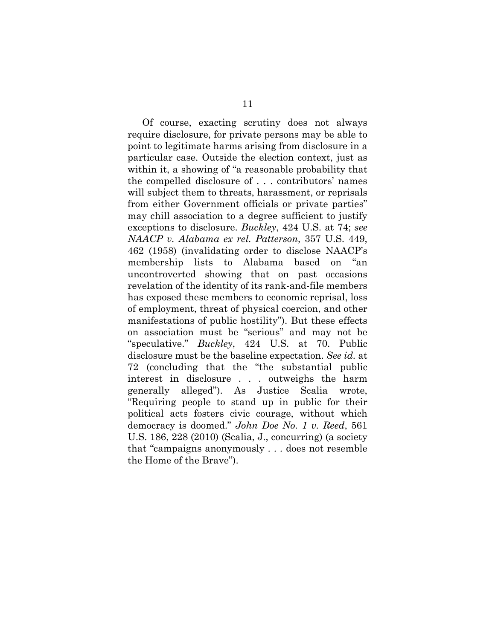Of course, exacting scrutiny does not always require disclosure, for private persons may be able to point to legitimate harms arising from disclosure in a particular case. Outside the election context, just as within it, a showing of "a reasonable probability that the compelled disclosure of . . . contributors' names will subject them to threats, harassment, or reprisals from either Government officials or private parties" may chill association to a degree sufficient to justify exceptions to disclosure. *Buckley*, 424 U.S. at 74; *see NAACP v. Alabama ex rel. Patterson*, 357 U.S. 449, 462 (1958) (invalidating order to disclose NAACP's membership lists to Alabama based on "an uncontroverted showing that on past occasions revelation of the identity of its rank-and-file members has exposed these members to economic reprisal, loss of employment, threat of physical coercion, and other manifestations of public hostility"). But these effects on association must be "serious" and may not be "speculative." *Buckley*, 424 U.S. at 70. Public disclosure must be the baseline expectation. *See id.* at 72 (concluding that the "the substantial public interest in disclosure . . . outweighs the harm generally alleged"). As Justice Scalia wrote, "Requiring people to stand up in public for their political acts fosters civic courage, without which democracy is doomed." *John Doe No. 1 v. Reed*, 561 U.S. 186, 228 (2010) (Scalia, J., concurring) (a society that "campaigns anonymously . . . does not resemble the Home of the Brave").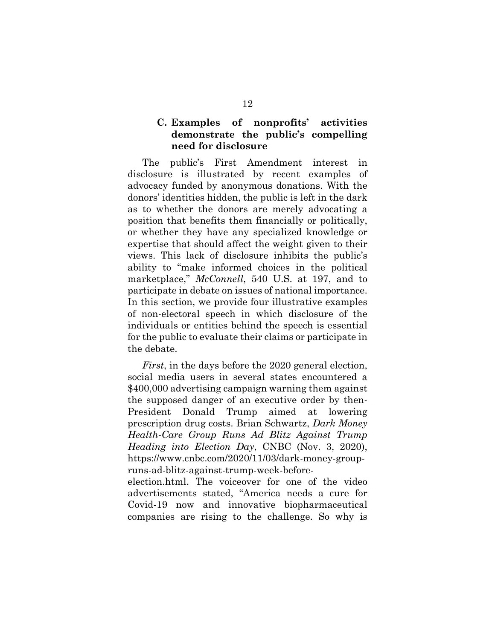## **C. Examples of nonprofits' activities demonstrate the public's compelling need for disclosure**

The public's First Amendment interest in disclosure is illustrated by recent examples of advocacy funded by anonymous donations. With the donors' identities hidden, the public is left in the dark as to whether the donors are merely advocating a position that benefits them financially or politically, or whether they have any specialized knowledge or expertise that should affect the weight given to their views. This lack of disclosure inhibits the public's ability to "make informed choices in the political marketplace," *McConnell*, 540 U.S. at 197, and to participate in debate on issues of national importance. In this section, we provide four illustrative examples of non-electoral speech in which disclosure of the individuals or entities behind the speech is essential for the public to evaluate their claims or participate in the debate.

*First*, in the days before the 2020 general election, social media users in several states encountered a \$400,000 advertising campaign warning them against the supposed danger of an executive order by then-President Donald Trump aimed at lowering prescription drug costs. Brian Schwartz, *Dark Money Health-Care Group Runs Ad Blitz Against Trump Heading into Election Day*, CNBC (Nov. 3, 2020), https://www.cnbc.com/2020/11/03/dark-money-groupruns-ad-blitz-against-trump-week-before-

election.html. The voiceover for one of the video advertisements stated, "America needs a cure for Covid-19 now and innovative biopharmaceutical companies are rising to the challenge. So why is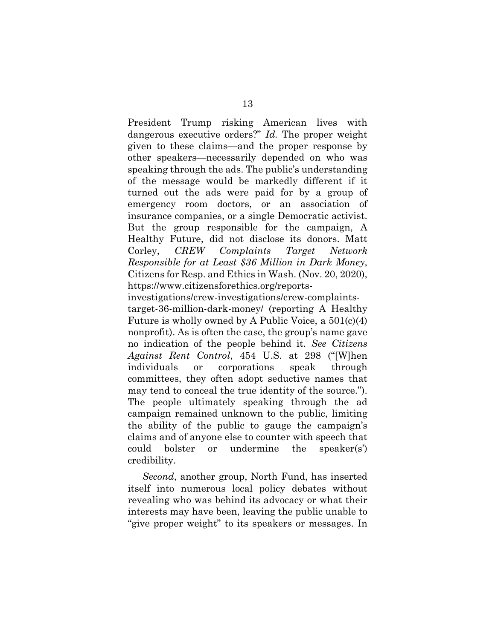President Trump risking American lives with dangerous executive orders?" *Id.* The proper weight given to these claims—and the proper response by other speakers—necessarily depended on who was speaking through the ads. The public's understanding of the message would be markedly different if it turned out the ads were paid for by a group of emergency room doctors, or an association of insurance companies, or a single Democratic activist. But the group responsible for the campaign, A Healthy Future, did not disclose its donors. Matt Corley, *CREW Complaints Target Network Responsible for at Least \$36 Million in Dark Money*, Citizens for Resp. and Ethics in Wash. (Nov. 20, 2020), https://www.citizensforethics.org/reports-

investigations/crew-investigations/crew-complaintstarget-36-million-dark-money/ (reporting A Healthy Future is wholly owned by A Public Voice, a 501(c)(4) nonprofit). As is often the case, the group's name gave no indication of the people behind it. *See Citizens Against Rent Control*, 454 U.S. at 298 ("[W]hen individuals or corporations speak through committees, they often adopt seductive names that may tend to conceal the true identity of the source."). The people ultimately speaking through the ad campaign remained unknown to the public, limiting the ability of the public to gauge the campaign's claims and of anyone else to counter with speech that could bolster or undermine the speaker(s') credibility.

*Second*, another group, North Fund, has inserted itself into numerous local policy debates without revealing who was behind its advocacy or what their interests may have been, leaving the public unable to "give proper weight" to its speakers or messages. In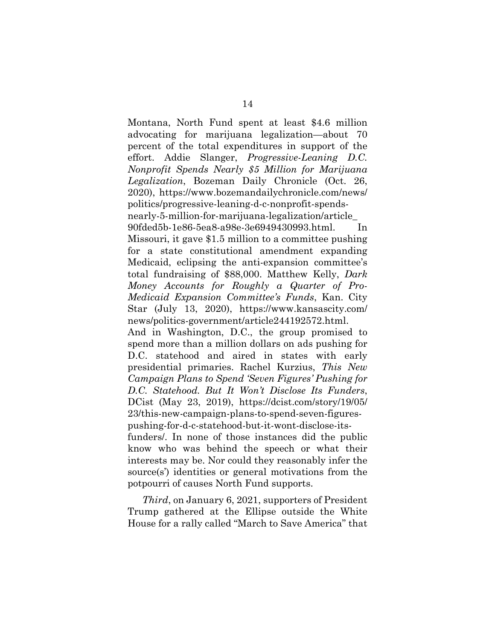Montana, North Fund spent at least \$4.6 million advocating for marijuana legalization—about 70 percent of the total expenditures in support of the effort. Addie Slanger, *Progressive-Leaning D.C. Nonprofit Spends Nearly \$5 Million for Marijuana Legalization*, Bozeman Daily Chronicle (Oct. 26, 2020), https://www.bozemandailychronicle.com/news/ politics/progressive-leaning-d-c-nonprofit-spendsnearly-5-million-for-marijuana-legalization/article\_ 90fded5b-1e86-5ea8-a98e-3e6949430993.html. In Missouri, it gave \$1.5 million to a committee pushing for a state constitutional amendment expanding Medicaid, eclipsing the anti-expansion committee's total fundraising of \$88,000. Matthew Kelly, *Dark Money Accounts for Roughly a Quarter of Pro-Medicaid Expansion Committee's Funds*, Kan. City Star (July 13, 2020), https://www.kansascity.com/ news/politics-government/article244192572.html.

And in Washington, D.C., the group promised to spend more than a million dollars on ads pushing for D.C. statehood and aired in states with early presidential primaries. Rachel Kurzius, *This New Campaign Plans to Spend 'Seven Figures' Pushing for D.C. Statehood. But It Won't Disclose Its Funders*, DCist (May 23, 2019), https://dcist.com/story/19/05/ 23/this-new-campaign-plans-to-spend-seven-figurespushing-for-d-c-statehood-but-it-wont-disclose-its-

funders/. In none of those instances did the public know who was behind the speech or what their interests may be. Nor could they reasonably infer the source(s') identities or general motivations from the potpourri of causes North Fund supports.

*Third*, on January 6, 2021, supporters of President Trump gathered at the Ellipse outside the White House for a rally called "March to Save America" that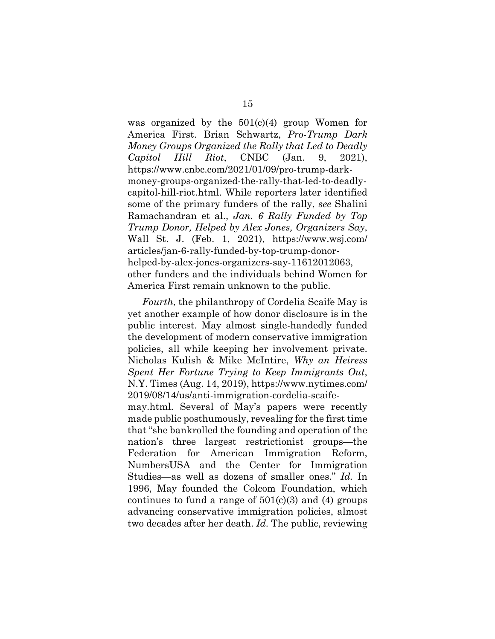was organized by the  $501(c)(4)$  group Women for America First. Brian Schwartz, *Pro-Trump Dark Money Groups Organized the Rally that Led to Deadly Capitol Hill Riot*, CNBC (Jan. 9, 2021), https://www.cnbc.com/2021/01/09/pro-trump-darkmoney-groups-organized-the-rally-that-led-to-deadlycapitol-hill-riot.html. While reporters later identified some of the primary funders of the rally, *see* Shalini Ramachandran et al., *Jan. 6 Rally Funded by Top Trump Donor, Helped by Alex Jones, Organizers Say*, Wall St. J. (Feb. 1, 2021), https://www.wsj.com/ articles/jan-6-rally-funded-by-top-trump-donorhelped-by-alex-jones-organizers-say-11612012063, other funders and the individuals behind Women for America First remain unknown to the public.

*Fourth*, the philanthropy of Cordelia Scaife May is yet another example of how donor disclosure is in the public interest. May almost single-handedly funded the development of modern conservative immigration policies, all while keeping her involvement private. Nicholas Kulish & Mike McIntire, *Why an Heiress Spent Her Fortune Trying to Keep Immigrants Out*, N.Y. Times (Aug. 14, 2019), https://www.nytimes.com/ 2019/08/14/us/anti-immigration-cordelia-scaife-

may.html. Several of May's papers were recently made public posthumously, revealing for the first time that "she bankrolled the founding and operation of the nation's three largest restrictionist groups—the Federation for American Immigration Reform, NumbersUSA and the Center for Immigration Studies—as well as dozens of smaller ones." *Id.* In 1996, May founded the Colcom Foundation, which continues to fund a range of  $501(c)(3)$  and (4) groups advancing conservative immigration policies, almost two decades after her death. *Id.* The public, reviewing